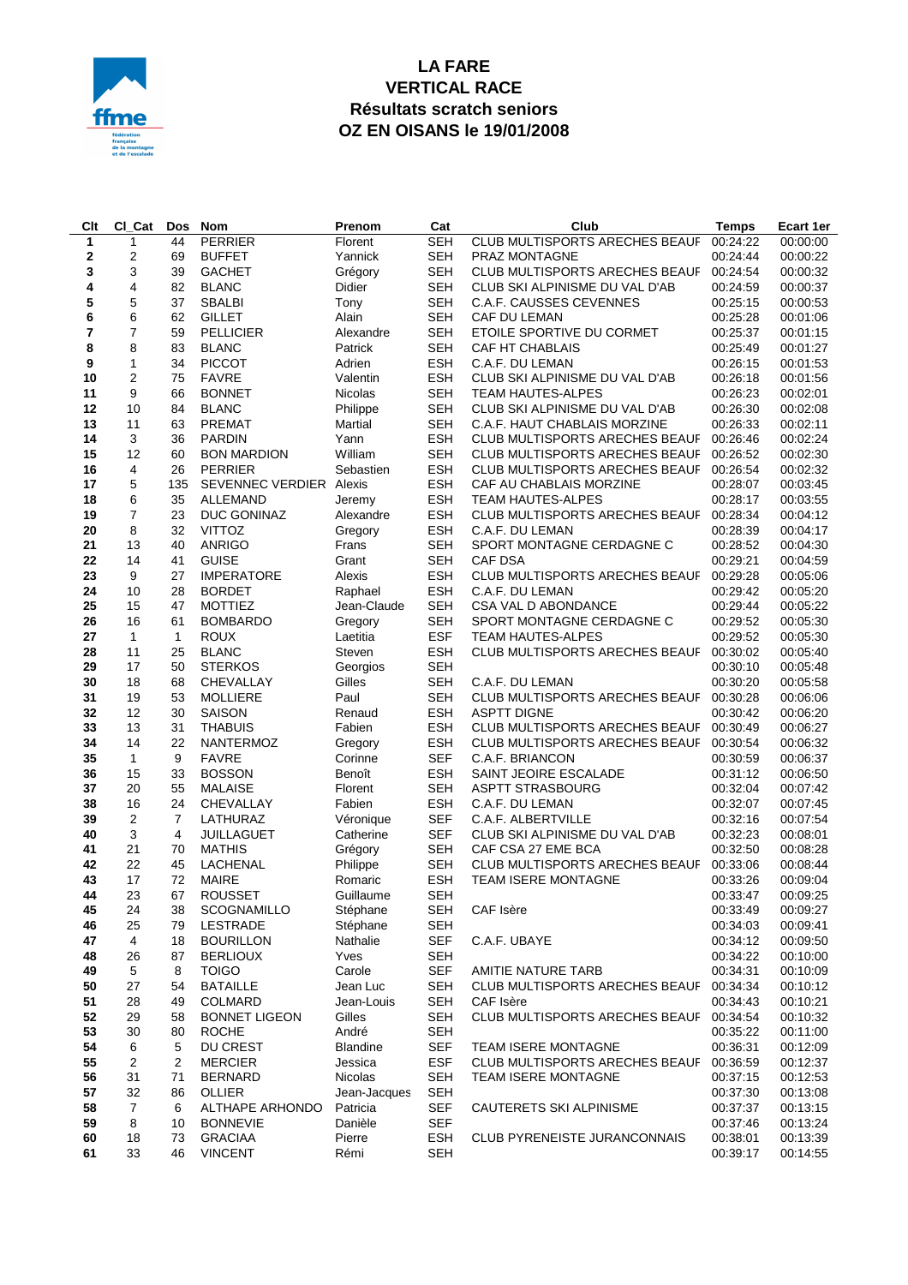

## **LA FARE VERTICAL RACE Résultats scratch seniors OZ EN OISANS le 19/01/2008**

| Clt            | CI_Cat         | <b>Dos</b>           | <b>Nom</b>                | Prenom              | Cat                      | Club                                                 | <b>Temps</b>         | Ecart 1er            |
|----------------|----------------|----------------------|---------------------------|---------------------|--------------------------|------------------------------------------------------|----------------------|----------------------|
| $\mathbf{1}$   | 1              | 44                   | <b>PERRIER</b>            | Florent             | <b>SEH</b>               | CLUB MULTISPORTS ARECHES BEAUF                       | 00:24:22             | 00:00:00             |
| 2              | 2              | 69                   | <b>BUFFET</b>             | Yannick             | SEH                      | PRAZ MONTAGNE                                        | 00:24:44             | 00:00:22             |
| 3              | 3              | 39                   | <b>GACHET</b>             | Grégory             | <b>SEH</b>               | CLUB MULTISPORTS ARECHES BEAUF                       | 00:24:54             | 00:00:32             |
| 4              | 4              | 82                   | <b>BLANC</b>              | Didier              | <b>SEH</b>               | CLUB SKI ALPINISME DU VAL D'AB                       | 00:24:59             | 00:00:37             |
| 5              | 5              | 37                   | <b>SBALBI</b>             | Tony                | <b>SEH</b>               | C.A.F. CAUSSES CEVENNES                              | 00:25:15             | 00:00:53             |
| 6              | 6              | 62                   | <b>GILLET</b>             | Alain               | <b>SEH</b>               | CAF DU LEMAN                                         | 00:25:28             | 00:01:06             |
| $\overline{7}$ | $\overline{7}$ | 59                   | <b>PELLICIER</b>          | Alexandre           | <b>SEH</b>               | ETOILE SPORTIVE DU CORMET                            | 00:25:37             | 00:01:15             |
| 8              | 8              | 83                   | <b>BLANC</b>              | Patrick             | <b>SEH</b>               | CAF HT CHABLAIS                                      | 00:25:49             | 00:01:27             |
| 9              | 1              | 34                   | <b>PICCOT</b>             | Adrien              | <b>ESH</b>               | C.A.F. DU LEMAN                                      | 00:26:15             | 00:01:53             |
| 10             | 2              | 75                   | <b>FAVRE</b>              | Valentin            | <b>ESH</b>               | CLUB SKI ALPINISME DU VAL D'AB                       | 00:26:18             | 00:01:56             |
| 11             | 9              | 66                   | <b>BONNET</b>             | Nicolas             | <b>SEH</b>               | <b>TEAM HAUTES-ALPES</b>                             | 00:26:23             | 00:02:01             |
| 12             | 10             | 84                   | <b>BLANC</b>              | Philippe            | <b>SEH</b>               | CLUB SKI ALPINISME DU VAL D'AB                       | 00:26:30             | 00:02:08             |
| 13             | 11             | 63                   | <b>PREMAT</b>             | Martial             | <b>SEH</b>               | C.A.F. HAUT CHABLAIS MORZINE                         | 00:26:33             | 00:02:11             |
| 14             | 3              | 36                   | <b>PARDIN</b>             | Yann                | <b>ESH</b>               | CLUB MULTISPORTS ARECHES BEAUF                       | 00:26:46             | 00:02:24             |
| 15             | 12             | 60                   | <b>BON MARDION</b>        | William             | <b>SEH</b>               | CLUB MULTISPORTS ARECHES BEAUF                       | 00:26:52             | 00:02:30             |
| 16             | 4              | 26                   | <b>PERRIER</b>            | Sebastien           | <b>ESH</b>               | CLUB MULTISPORTS ARECHES BEAUF                       | 00:26:54             | 00:02:32             |
| 17             | 5              | 135                  | SEVENNEC VERDIER Alexis   |                     | <b>ESH</b>               | CAF AU CHABLAIS MORZINE                              | 00:28:07             | 00:03:45             |
| 18             | 6              | 35                   | ALLEMAND                  | Jeremy              | <b>ESH</b>               | <b>TEAM HAUTES-ALPES</b>                             | 00:28:17             | 00:03:55             |
| 19             | $\overline{7}$ | 23                   | DUC GONINAZ               | Alexandre           | <b>ESH</b>               | CLUB MULTISPORTS ARECHES BEAUF                       | 00:28:34             | 00:04:12             |
| 20             | 8              | 32                   | <b>VITTOZ</b>             | Gregory             | <b>ESH</b>               | C.A.F. DU LEMAN                                      | 00:28:39             | 00:04:17             |
| 21             | 13             | 40                   | ANRIGO                    | Frans               | <b>SEH</b>               | SPORT MONTAGNE CERDAGNE C                            | 00:28:52             | 00:04:30             |
| 22             | 14             | 41                   | <b>GUISE</b>              | Grant               | <b>SEH</b>               | CAF DSA                                              | 00:29:21             | 00:04:59             |
| 23             | 9              | 27                   | <b>IMPERATORE</b>         | Alexis              | <b>ESH</b>               | CLUB MULTISPORTS ARECHES BEAUF                       | 00:29:28             | 00:05:06             |
| 24             | 10             | 28                   | <b>BORDET</b>             | Raphael             | <b>ESH</b>               | C.A.F. DU LEMAN                                      | 00:29:42             | 00:05:20             |
| 25             | 15             | 47                   | <b>MOTTIEZ</b>            | Jean-Claude         | <b>SEH</b>               | <b>CSA VAL D ABONDANCE</b>                           | 00:29:44             | 00:05:22             |
| 26             | 16             | 61                   | <b>BOMBARDO</b>           | Gregory             | <b>SEH</b>               | SPORT MONTAGNE CERDAGNE C                            | 00:29:52             | 00:05:30             |
| 27             | $\mathbf{1}$   | $\mathbf{1}$         | <b>ROUX</b>               | Laetitia            | <b>ESF</b>               | <b>TEAM HAUTES-ALPES</b>                             | 00:29:52             | 00:05:30             |
| 28             | 11             | 25                   | <b>BLANC</b>              | Steven              | <b>ESH</b>               | CLUB MULTISPORTS ARECHES BEAUF                       | 00:30:02             | 00:05:40             |
| 29             | 17             | 50                   | <b>STERKOS</b>            | Georgios            | <b>SEH</b>               |                                                      | 00:30:10             | 00:05:48             |
| 30             | 18             | 68                   | CHEVALLAY                 | Gilles              | <b>SEH</b>               | C.A.F. DU LEMAN                                      | 00:30:20             | 00:05:58             |
| 31             | 19             | 53                   | <b>MOLLIERE</b>           | Paul                | <b>SEH</b>               | <b>CLUB MULTISPORTS ARECHES BEAUF</b>                | 00:30:28             | 00:06:06             |
| 32             | 12             | 30                   | SAISON                    | Renaud              | <b>ESH</b>               | <b>ASPTT DIGNE</b>                                   | 00:30:42             | 00:06:20             |
| 33             | 13             | 31                   | <b>THABUIS</b>            | Fabien              | <b>ESH</b>               | CLUB MULTISPORTS ARECHES BEAUF 00:30:49              |                      | 00:06:27             |
| 34             | 14             | 22                   | <b>NANTERMOZ</b>          | Gregory             | <b>ESH</b>               | CLUB MULTISPORTS ARECHES BEAUF                       | 00:30:54             | 00:06:32             |
| 35             | $\mathbf{1}$   | 9                    | <b>FAVRE</b>              | Corinne             | <b>SEF</b>               | C.A.F. BRIANCON                                      | 00:30:59             | 00:06:37             |
| 36             | 15             | 33                   | <b>BOSSON</b>             | Benoît              | <b>ESH</b>               | SAINT JEOIRE ESCALADE                                | 00:31:12             | 00:06:50             |
| 37             | 20             | 55                   | <b>MALAISE</b>            | Florent             | <b>SEH</b>               | <b>ASPTT STRASBOURG</b>                              | 00:32:04             | 00:07:42             |
| 38             | 16<br>2        | 24<br>$\overline{7}$ | CHEVALLAY<br>LATHURAZ     | Fabien              | <b>ESH</b>               | C.A.F. DU LEMAN                                      | 00:32:07             | 00:07:45             |
| 39             | 3              |                      |                           | Véronique           | <b>SEF</b>               | C.A.F. ALBERTVILLE                                   | 00:32:16<br>00:32:23 | 00:07:54             |
| 40             | 21             | 4                    | <b>JUILLAGUET</b>         | Catherine           | <b>SEF</b>               | CLUB SKI ALPINISME DU VAL D'AB<br>CAF CSA 27 EME BCA | 00:32:50             | 00:08:01             |
| 41<br>42       | 22             | 70<br>45             | <b>MATHIS</b><br>LACHENAL | Grégory<br>Philippe | <b>SEH</b><br><b>SEH</b> | CLUB MULTISPORTS ARECHES BEAUF                       | 00:33:06             | 00:08:28<br>00:08:44 |
| 43             | 17             | 72                   | <b>MAIRE</b>              | Romaric             | <b>ESH</b>               | TEAM ISERE MONTAGNE                                  | 00:33:26             | 00:09:04             |
| 44             | 23             | 67                   | <b>ROUSSET</b>            | Guillaume           | <b>SEH</b>               |                                                      | 00:33:47             | 00:09:25             |
| 45             | 24             | 38                   | SCOGNAMILLO               | Stéphane            | <b>SEH</b>               | CAF Isère                                            | 00:33:49             | 00:09:27             |
| 46             | 25             | 79                   | LESTRADE                  | Stéphane            | <b>SEH</b>               |                                                      | 00:34:03             | 00:09:41             |
| 47             | 4              | 18                   | <b>BOURILLON</b>          | Nathalie            | <b>SEF</b>               | C.A.F. UBAYE                                         | 00:34:12             | 00:09:50             |
| 48             | 26             | 87                   | <b>BERLIOUX</b>           | Yves                | <b>SEH</b>               |                                                      | 00:34:22             | 00:10:00             |
| 49             | 5              | 8                    | <b>TOIGO</b>              | Carole              | <b>SEF</b>               | AMITIE NATURE TARB                                   | 00:34:31             | 00:10:09             |
| 50             | 27             | 54                   | <b>BATAILLE</b>           | Jean Luc            | <b>SEH</b>               | CLUB MULTISPORTS ARECHES BEAUF                       | 00:34:34             | 00:10:12             |
| 51             | 28             | 49                   | <b>COLMARD</b>            | Jean-Louis          | <b>SEH</b>               | CAF Isère                                            | 00:34:43             | 00:10:21             |
| 52             | 29             | 58                   | <b>BONNET LIGEON</b>      | Gilles              | <b>SEH</b>               | CLUB MULTISPORTS ARECHES BEAUF                       | 00:34:54             | 00:10:32             |
| 53             | 30             | 80                   | <b>ROCHE</b>              | André               | <b>SEH</b>               |                                                      | 00:35:22             | 00:11:00             |
| 54             | 6              | 5                    | DU CREST                  | <b>Blandine</b>     | <b>SEF</b>               | TEAM ISERE MONTAGNE                                  | 00:36:31             | 00:12:09             |
| 55             | $\overline{2}$ | 2                    | <b>MERCIER</b>            | Jessica             | <b>ESF</b>               | <b>CLUB MULTISPORTS ARECHES BEAUF</b>                | 00:36:59             | 00:12:37             |
| 56             | 31             | 71                   | <b>BERNARD</b>            | Nicolas             | <b>SEH</b>               | <b>TEAM ISERE MONTAGNE</b>                           | 00:37:15             | 00:12:53             |
| 57             | 32             | 86                   | OLLIER                    | Jean-Jacques        | <b>SEH</b>               |                                                      | 00:37:30             | 00:13:08             |
| 58             | $\overline{7}$ | 6                    | ALTHAPE ARHONDO           | Patricia            | SEF                      | CAUTERETS SKI ALPINISME                              | 00:37:37             | 00:13:15             |
| 59             | 8              | 10                   | <b>BONNEVIE</b>           | Danièle             | <b>SEF</b>               |                                                      | 00:37:46             | 00:13:24             |
| 60             | 18             | 73                   | <b>GRACIAA</b>            | Pierre              | <b>ESH</b>               | CLUB PYRENEISTE JURANCONNAIS                         | 00:38:01             | 00:13:39             |
| 61             | 33             | 46                   | <b>VINCENT</b>            | Rémi                | SEH                      |                                                      | 00:39:17             | 00:14:55             |